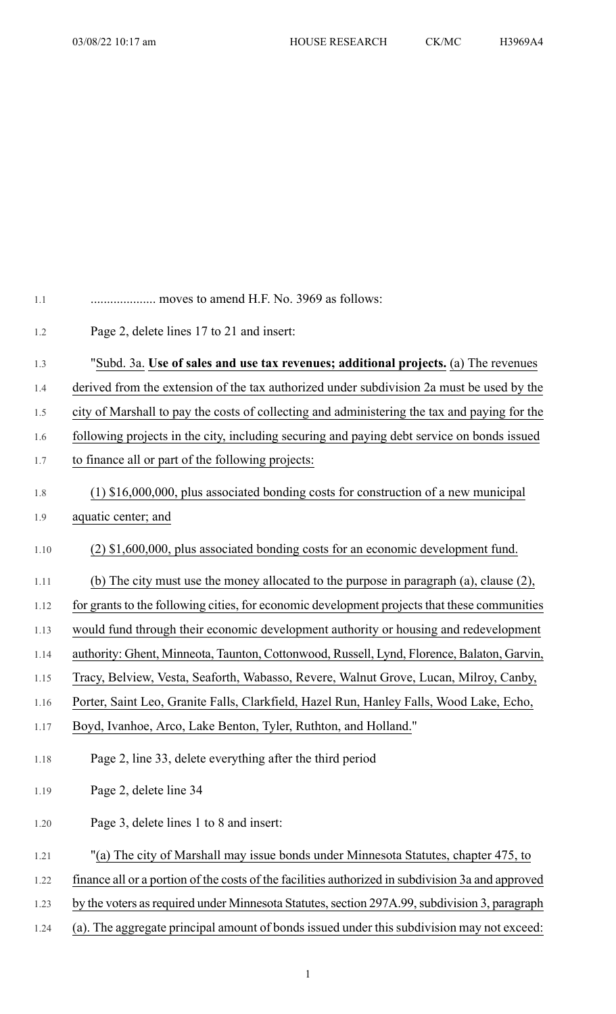| 1.1     | moves to amend H.F. No. 3969 as follows:                                                          |
|---------|---------------------------------------------------------------------------------------------------|
| 1.2     | Page 2, delete lines 17 to 21 and insert:                                                         |
| 1.3     | "Subd. 3a. Use of sales and use tax revenues; additional projects. (a) The revenues               |
| 1.4     | derived from the extension of the tax authorized under subdivision 2a must be used by the         |
| 1.5     | city of Marshall to pay the costs of collecting and administering the tax and paying for the      |
| 1.6     | following projects in the city, including securing and paying debt service on bonds issued        |
| 1.7     | to finance all or part of the following projects:                                                 |
| $1.8\,$ | $(1)$ \$16,000,000, plus associated bonding costs for construction of a new municipal             |
| 1.9     | aquatic center; and                                                                               |
| 1.10    | (2) \$1,600,000, plus associated bonding costs for an economic development fund.                  |
| 1.11    | (b) The city must use the money allocated to the purpose in paragraph (a), clause (2),            |
| 1.12    | for grants to the following cities, for economic development projects that these communities      |
| 1.13    | would fund through their economic development authority or housing and redevelopment              |
| 1.14    | authority: Ghent, Minneota, Taunton, Cottonwood, Russell, Lynd, Florence, Balaton, Garvin,        |
| 1.15    | Tracy, Belview, Vesta, Seaforth, Wabasso, Revere, Walnut Grove, Lucan, Milroy, Canby,             |
| 1.16    | Porter, Saint Leo, Granite Falls, Clarkfield, Hazel Run, Hanley Falls, Wood Lake, Echo,           |
| 1.17    | Boyd, Ivanhoe, Arco, Lake Benton, Tyler, Ruthton, and Holland."                                   |
| 1.18    | Page 2, line 33, delete everything after the third period                                         |
| 1.19    | Page 2, delete line 34                                                                            |
| 1.20    | Page 3, delete lines 1 to 8 and insert:                                                           |
| 1.21    | "(a) The city of Marshall may issue bonds under Minnesota Statutes, chapter 475, to               |
| 1.22    | finance all or a portion of the costs of the facilities authorized in subdivision 3a and approved |
| 1.23    | by the voters as required under Minnesota Statutes, section 297A.99, subdivision 3, paragraph     |

1.24 (a). The aggregate principal amount of bonds issued under this subdivision may not exceed: